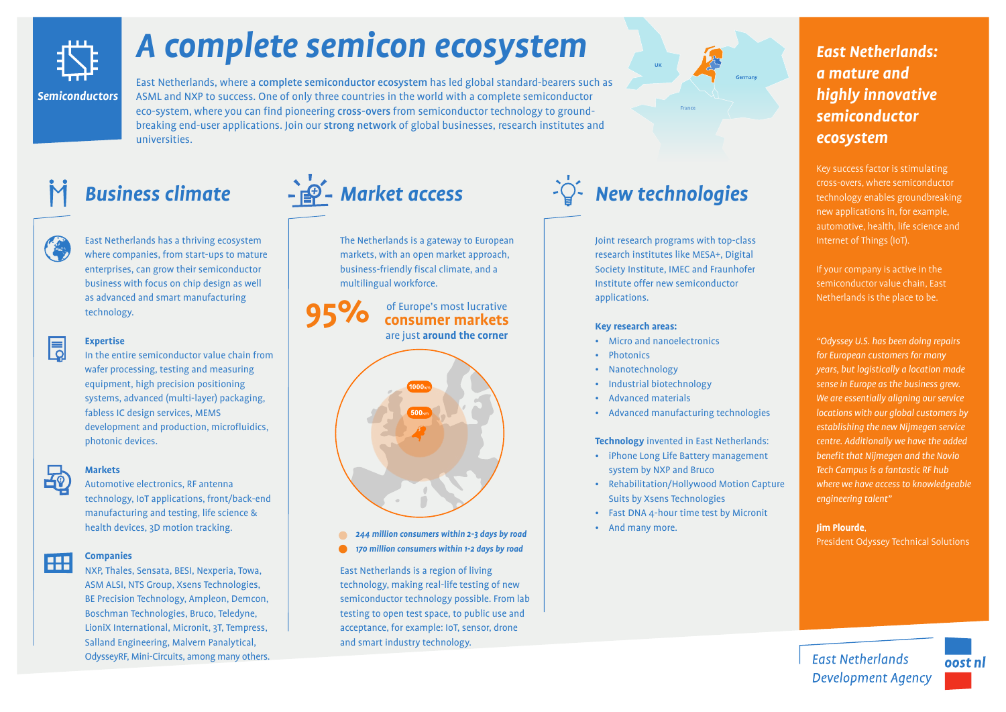

# *A complete semicon ecosystem*

East Netherlands, where a complete semiconductor ecosystem has led global standard-bearers such as ASML and NXP to success. One of only three countries in the world with a complete semiconductor eco-system, where you can find pioneering cross-overs from semiconductor technology to groundbreaking end-user applications. Join our strong network of global businesses, research institutes and universities.



East Netherlands has a thriving ecosystem where companies, from start-ups to mature enterprises, can grow their semiconductor business with focus on chip design as well as advanced and smart manufacturing technology.

## 围

### **Expertise**

In the entire semiconductor value chain from wafer processing, testing and measuring equipment, high precision positioning systems, advanced (multi-layer) packaging, fabless IC design services, MEMS development and production, microfluidics, photonic devices.

# Ap<sub>p</sub>

#### **Markets**

Automotive electronics, RF antenna technology, IoT applications, front/back-end manufacturing and testing, life science & health devices, 3D motion tracking.

#### **Companies FILE**

NXP, Thales, Sensata, BESI, Nexperia, Towa, ASM ALSI, NTS Group, Xsens Technologies, BE Precision Technology, Ampleon, Demcon, Boschman Technologies, Bruco, Teledyne, LioniX International, Micronit, 3T, Tempress, Salland Engineering, Malvern Panalytical, OdysseyRF, Mini-Circuits, among many others.

# +<sup>1</sup><sup>9</sup> - Market access

The Netherlands is a gateway to European markets, with an open market approach, business-friendly fiscal climate, and a multilingual workforce.

**95%** of Europe's most lucrative **consumer markets** are just **around the corner**



*170 million consumers within 1-2 days by road*

East Netherlands is a region of living technology, making real-life testing of new semiconductor technology possible. From lab testing to open test space, to public use and acceptance, for example: IoT, sensor, drone and smart industry technology.



Joint research programs with top-class research institutes like MESA+, Digital Society Institute, IMEC and Fraunhofer Institute offer new semiconductor applications.

#### **Key research areas:**

- Micro and nanoelectronics
- **Photonics**
- **Nanotechnology**
- Industrial biotechnology
- Advanced materials

### **Technology** invented in East Netherlands:

• Advanced manufacturing technologies

- iPhone Long Life Battery management system by NXP and Bruco
- Rehabilitation/Hollywood Motion Capture Suits by Xsens Technologies
- Fast DNA 4-hour time test by Micronit
	-

## *East Netherlands: a mature and highly innovative semiconductor ecosystem*

Key success factor is stimulating cross-overs, where semiconductor technology enables groundbreaking new applications in, for example, automotive, health, life science and Internet of Things (IoT).

If your company is active in the semiconductor value chain, East Netherlands is the place to be.

*"Odyssey U.S. has been doing repairs for European customers for many years, but logistically a location made sense in Europe as the business grew. We are essentially aligning our service locations with our global customers by establishing the new Nijmegen service centre. Additionally we have the added benefit that Nijmegen and the Novio Tech Campus is a fantastic RF hub where we have access to knowledgeable engineering talent"*

### **Jim Plourde**,